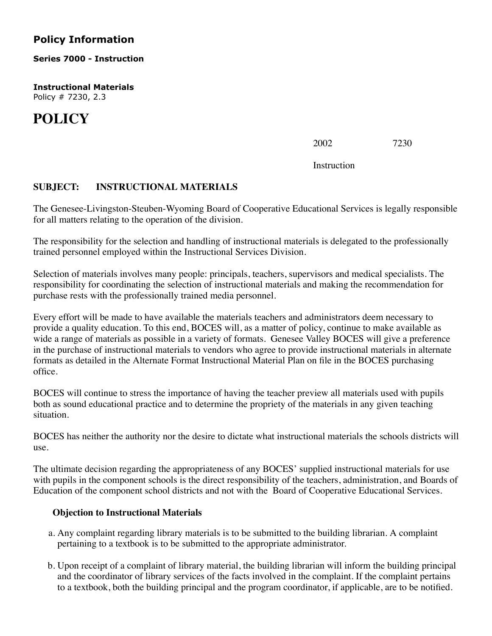## **Policy Information**

**Series 7000 - Instruction**

**Instructional Materials** Policy # 7230, 2.3

## **POLICY**

 $2002$   $7230$ 

Instruction

## **SUBJECT: INSTRUCTIONAL MATERIALS**

The Genesee-Livingston-Steuben-Wyoming Board of Cooperative Educational Services is legally responsible for all matters relating to the operation of the division.

The responsibility for the selection and handling of instructional materials is delegated to the professionally trained personnel employed within the Instructional Services Division.

Selection of materials involves many people: principals, teachers, supervisors and medical specialists. The responsibility for coordinating the selection of instructional materials and making the recommendation for purchase rests with the professionally trained media personnel.

Every effort will be made to have available the materials teachers and administrators deem necessary to provide a quality education. To this end, BOCES will, as a matter of policy, continue to make available as wide a range of materials as possible in a variety of formats. Genesee Valley BOCES will give a preference in the purchase of instructional materials to vendors who agree to provide instructional materials in alternate formats as detailed in the Alternate Format Instructional Material Plan on file in the BOCES purchasing office.

BOCES will continue to stress the importance of having the teacher preview all materials used with pupils both as sound educational practice and to determine the propriety of the materials in any given teaching situation.

BOCES has neither the authority nor the desire to dictate what instructional materials the schools districts will use.

The ultimate decision regarding the appropriateness of any BOCES' supplied instructional materials for use with pupils in the component schools is the direct responsibility of the teachers, administration, and Boards of Education of the component school districts and not with the Board of Cooperative Educational Services.

## **Objection to Instructional Materials**

- a. Any complaint regarding library materials is to be submitted to the building librarian. A complaint pertaining to a textbook is to be submitted to the appropriate administrator.
- b. Upon receipt of a complaint of library material, the building librarian will inform the building principal and the coordinator of library services of the facts involved in the complaint. If the complaint pertains to a textbook, both the building principal and the program coordinator, if applicable, are to be notified.